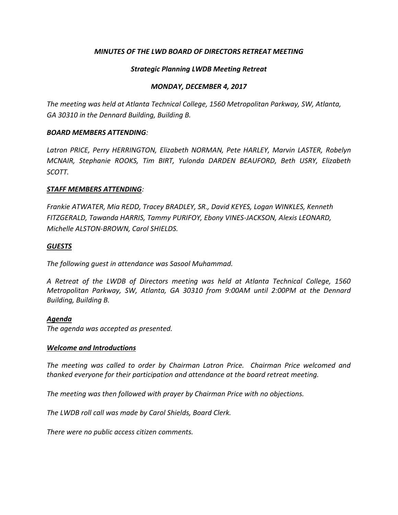# *MINUTES OF THE LWD BOARD OF DIRECTORS RETREAT MEETING*

# *Strategic Planning LWDB Meeting Retreat*

### *MONDAY, DECEMBER 4, 2017*

*The meeting was held at Atlanta Technical College, 1560 Metropolitan Parkway, SW, Atlanta, GA 30310 in the Dennard Building, Building B.* 

### *BOARD MEMBERS ATTENDING:*

*Latron PRICE, Perry HERRINGTON, Elizabeth NORMAN, Pete HARLEY, Marvin LASTER, Robelyn MCNAIR, Stephanie ROOKS, Tim BIRT, Yulonda DARDEN BEAUFORD, Beth USRY, Elizabeth SCOTT.* 

### *STAFF MEMBERS ATTENDING:*

*Frankie ATWATER, Mia REDD, Tracey BRADLEY, SR., David KEYES, Logan WINKLES, Kenneth FITZGERALD, Tawanda HARRIS, Tammy PURIFOY, Ebony VINES-JACKSON, Alexis LEONARD, Michelle ALSTON-BROWN, Carol SHIELDS.*

### *GUESTS*

*The following guest in attendance was Sasool Muhammad.* 

*A Retreat of the LWDB of Directors meeting was held at Atlanta Technical College, 1560 Metropolitan Parkway, SW, Atlanta, GA 30310 from 9:00AM until 2:00PM at the Dennard Building, Building B.*

### *Agenda*

*The agenda was accepted as presented.* 

### *Welcome and Introductions*

*The meeting was called to order by Chairman Latron Price. Chairman Price welcomed and thanked everyone for their participation and attendance at the board retreat meeting.* 

*The meeting was then followed with prayer by Chairman Price with no objections.* 

*The LWDB roll call was made by Carol Shields, Board Clerk.* 

*There were no public access citizen comments.*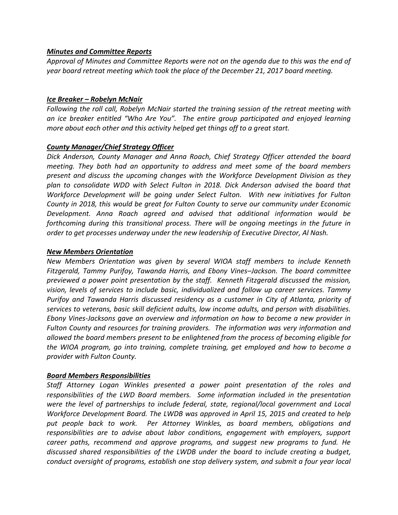### *Minutes and Committee Reports*

*Approval of Minutes and Committee Reports were not on the agenda due to this was the end of year board retreat meeting which took the place of the December 21, 2017 board meeting.*

#### *Ice Breaker – Robelyn McNair*

*Following the roll call, Robelyn McNair started the training session of the retreat meeting with an ice breaker entitled "Who Are You". The entire group participated and enjoyed learning more about each other and this activity helped get things off to a great start.* 

### *County Manager/Chief Strategy Officer*

*Dick Anderson, County Manager and Anna Roach, Chief Strategy Officer attended the board meeting. They both had an opportunity to address and meet some of the board members present and discuss the upcoming changes with the Workforce Development Division as they plan to consolidate WDD with Select Fulton in 2018. Dick Anderson advised the board that Workforce Development will be going under Select Fulton. With new initiatives for Fulton County in 2018, this would be great for Fulton County to serve our community under Economic Development. Anna Roach agreed and advised that additional information would be forthcoming during this transitional process. There will be ongoing meetings in the future in order to get processes underway under the new leadership of Executive Director, Al Nash.* 

#### *New Members Orientation*

*New Members Orientation was given by several WIOA staff members to include Kenneth Fitzgerald, Tammy Purifoy, Tawanda Harris, and Ebony Vines–Jackson. The board committee previewed a power point presentation by the staff. Kenneth Fitzgerald discussed the mission, vision, levels of services to include basic, individualized and follow up career services. Tammy Purifoy and Tawanda Harris discussed residency as a customer in City of Atlanta, priority of services to veterans, basic skill deficient adults, low income adults, and person with disabilities. Ebony Vines-Jacksons gave an overview and information on how to become a new provider in Fulton County and resources for training providers. The information was very information and allowed the board members present to be enlightened from the process of becoming eligible for the WIOA program, go into training, complete training, get employed and how to become a provider with Fulton County.* 

### *Board Members Responsibilities*

*Staff Attorney Logan Winkles presented a power point presentation of the roles and responsibilities of the LWD Board members. Some information included in the presentation were the level of partnerships to include federal, state, regional/local government and Local Workforce Development Board. The LWDB was approved in April 15, 2015 and created to help put people back to work. Per Attorney Winkles, as board members, obligations and responsibilities are to advise about labor conditions, engagement with employers, support career paths, recommend and approve programs, and suggest new programs to fund. He discussed shared responsibilities of the LWDB under the board to include creating a budget, conduct oversight of programs, establish one stop delivery system, and submit a four year local*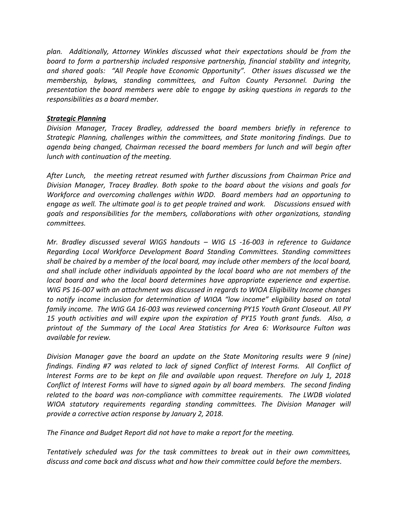*plan. Additionally, Attorney Winkles discussed what their expectations should be from the board to form a partnership included responsive partnership, financial stability and integrity, and shared goals: "All People have Economic Opportunity". Other issues discussed we the membership, bylaws, standing committees, and Fulton County Personnel. During the presentation the board members were able to engage by asking questions in regards to the responsibilities as a board member.*

### *Strategic Planning*

*Division Manager, Tracey Bradley, addressed the board members briefly in reference to Strategic Planning, challenges within the committees, and State monitoring findings. Due to agenda being changed, Chairman recessed the board members for lunch and will begin after lunch with continuation of the meeting.*

*After Lunch, the meeting retreat resumed with further discussions from Chairman Price and Division Manager, Tracey Bradley. Both spoke to the board about the visions and goals for Workforce and overcoming challenges within WDD. Board members had an opportuning to engage as well. The ultimate goal is to get people trained and work. Discussions ensued with goals and responsibilities for the members, collaborations with other organizations, standing committees.* 

*Mr. Bradley discussed several WIGS handouts – WIG LS -16-003 in reference to Guidance Regarding Local Workforce Development Board Standing Committees. Standing committees shall be chaired by a member of the local board, may include other members of the local board, and shall include other individuals appointed by the local board who are not members of the local board and who the local board determines have appropriate experience and expertise. WIG PS 16-007 with an attachment was discussed in regards to WIOA Eligibility Income changes to notify income inclusion for determination of WIOA "low income" eligibility based on total family income. The WIG GA 16-003 was reviewed concerning PY15 Youth Grant Closeout. All PY 15 youth activities and will expire upon the expiration of PY15 Youth grant funds. Also, a printout of the Summary of the Local Area Statistics for Area 6: Worksource Fulton was available for review.* 

*Division Manager gave the board an update on the State Monitoring results were 9 (nine) findings. Finding #7 was related to lack of signed Conflict of Interest Forms. All Conflict of Interest Forms are to be kept on file and available upon request. Therefore on July 1, 2018 Conflict of Interest Forms will have to signed again by all board members. The second finding related to the board was non-compliance with committee requirements. The LWDB violated WIOA statutory requirements regarding standing committees. The Division Manager will provide a corrective action response by January 2, 2018.*

*The Finance and Budget Report did not have to make a report for the meeting.* 

*Tentatively scheduled was for the task committees to break out in their own committees, discuss and come back and discuss what and how their committee could before the members.*